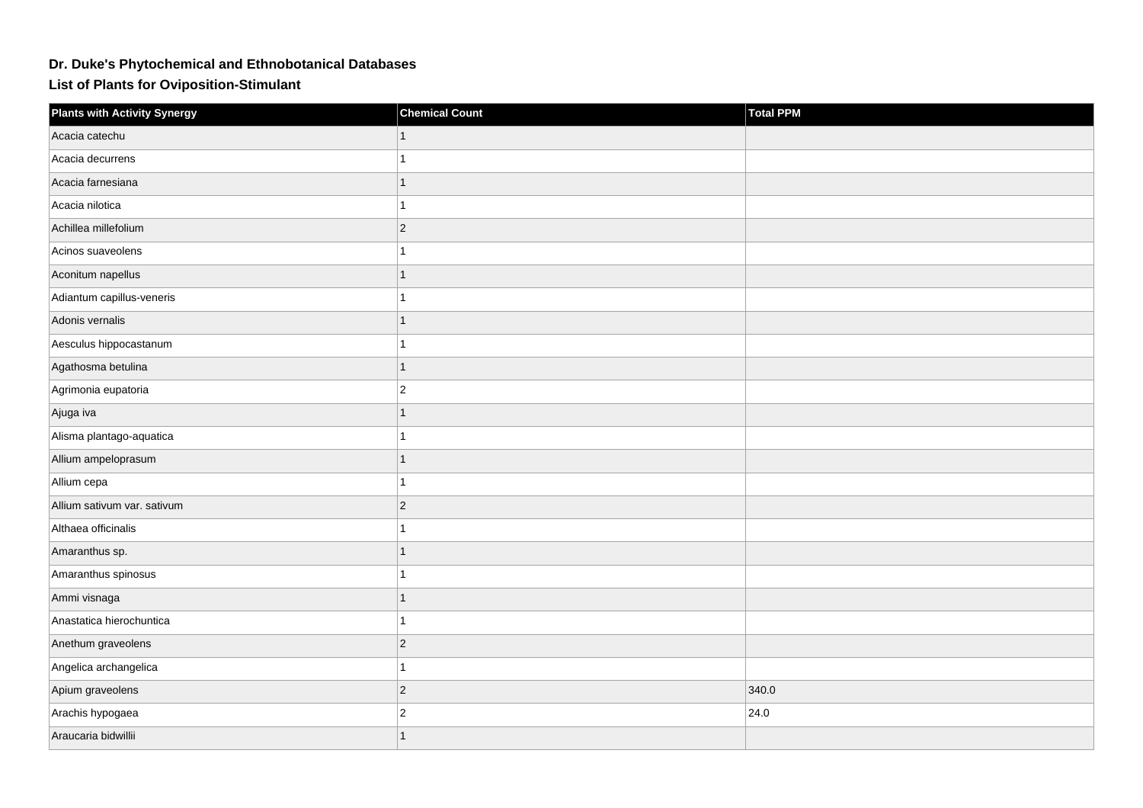## **Dr. Duke's Phytochemical and Ethnobotanical Databases**

**List of Plants for Oviposition-Stimulant**

| <b>Plants with Activity Synergy</b> | <b>Chemical Count</b> | <b>Total PPM</b> |
|-------------------------------------|-----------------------|------------------|
| Acacia catechu                      |                       |                  |
| Acacia decurrens                    |                       |                  |
| Acacia farnesiana                   | 1                     |                  |
| Acacia nilotica                     |                       |                  |
| Achillea millefolium                | $\overline{c}$        |                  |
| Acinos suaveolens                   |                       |                  |
| Aconitum napellus                   |                       |                  |
| Adiantum capillus-veneris           |                       |                  |
| Adonis vernalis                     | 1                     |                  |
| Aesculus hippocastanum              |                       |                  |
| Agathosma betulina                  | $\overline{1}$        |                  |
| Agrimonia eupatoria                 | $\overline{2}$        |                  |
| Ajuga iva                           | 1                     |                  |
| Alisma plantago-aquatica            | 1                     |                  |
| Allium ampeloprasum                 | 1                     |                  |
| Allium cepa                         |                       |                  |
| Allium sativum var. sativum         | $\overline{c}$        |                  |
| Althaea officinalis                 |                       |                  |
| Amaranthus sp.                      | 1                     |                  |
| Amaranthus spinosus                 | 1                     |                  |
| Ammi visnaga                        | 1                     |                  |
| Anastatica hierochuntica            | 1                     |                  |
| Anethum graveolens                  | $\overline{c}$        |                  |
| Angelica archangelica               |                       |                  |
| Apium graveolens                    | $\overline{c}$        | 340.0            |
| Arachis hypogaea                    | $\overline{c}$        | 24.0             |
| Araucaria bidwillii                 | $\overline{1}$        |                  |
|                                     |                       |                  |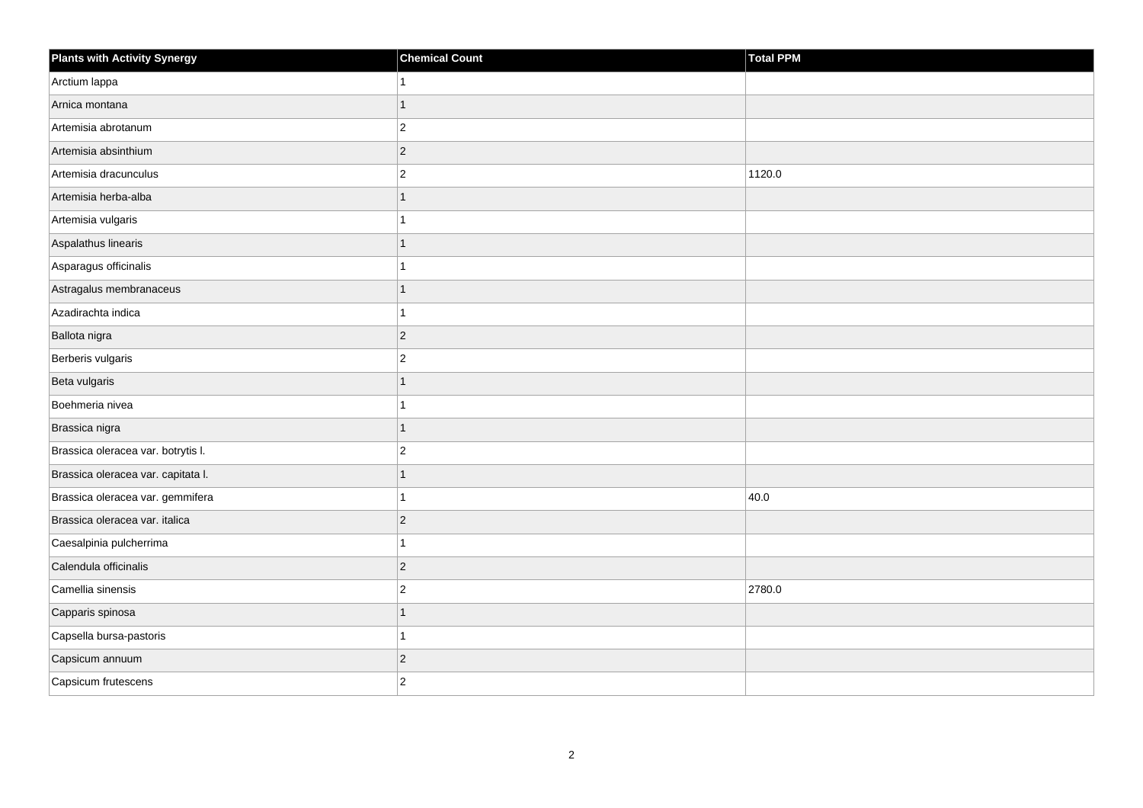| <b>Plants with Activity Synergy</b> | <b>Chemical Count</b> | Total PPM |
|-------------------------------------|-----------------------|-----------|
| Arctium lappa                       |                       |           |
| Arnica montana                      | 1                     |           |
| Artemisia abrotanum                 | $\overline{2}$        |           |
| Artemisia absinthium                | $\overline{2}$        |           |
| Artemisia dracunculus               | $\overline{2}$        | 1120.0    |
| Artemisia herba-alba                |                       |           |
| Artemisia vulgaris                  |                       |           |
| Aspalathus linearis                 | 1                     |           |
| Asparagus officinalis               |                       |           |
| Astragalus membranaceus             | 1                     |           |
| Azadirachta indica                  |                       |           |
| Ballota nigra                       | $\overline{2}$        |           |
| Berberis vulgaris                   | $\overline{2}$        |           |
| Beta vulgaris                       | 1                     |           |
| Boehmeria nivea                     |                       |           |
| Brassica nigra                      | 1                     |           |
| Brassica oleracea var. botrytis I.  | $\overline{2}$        |           |
| Brassica oleracea var. capitata I.  |                       |           |
| Brassica oleracea var. gemmifera    |                       | 40.0      |
| Brassica oleracea var. italica      | $\overline{2}$        |           |
| Caesalpinia pulcherrima             |                       |           |
| Calendula officinalis               | $\overline{c}$        |           |
| Camellia sinensis                   | $\overline{2}$        | 2780.0    |
| Capparis spinosa                    |                       |           |
| Capsella bursa-pastoris             | 1                     |           |
| Capsicum annuum                     | $\overline{c}$        |           |
| Capsicum frutescens                 | $\overline{2}$        |           |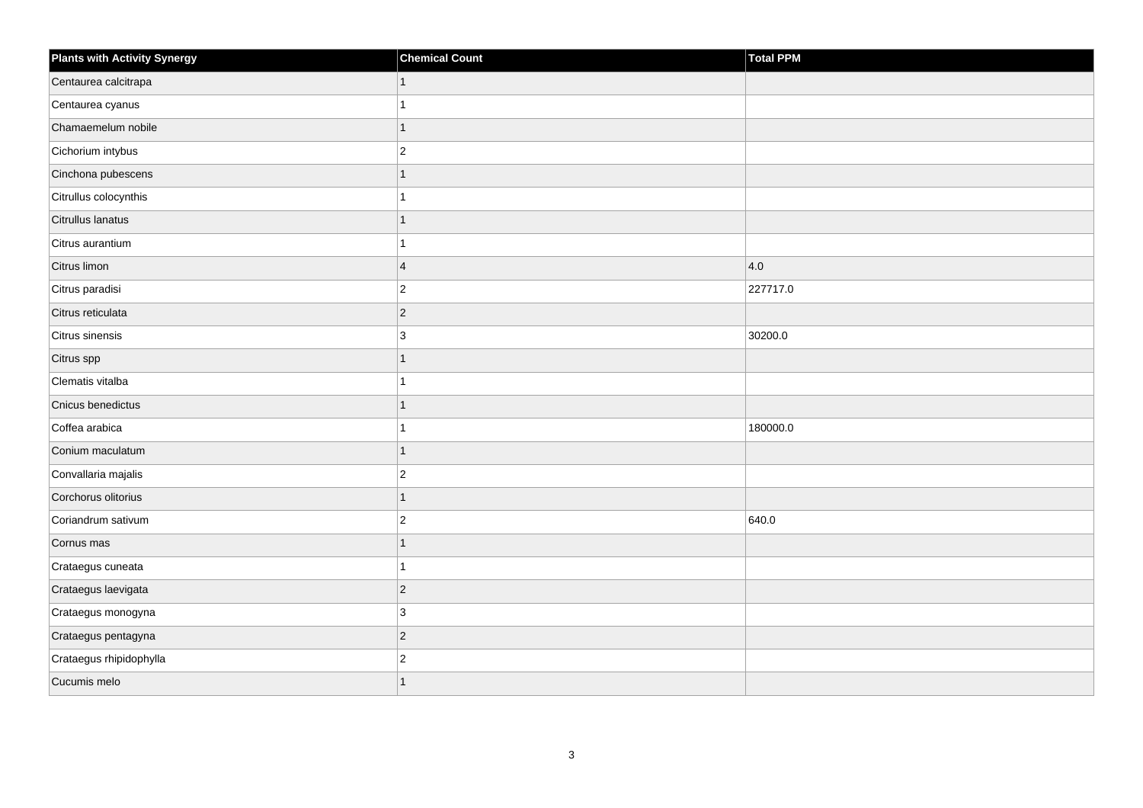| <b>Plants with Activity Synergy</b> | <b>Chemical Count</b> | Total PPM     |
|-------------------------------------|-----------------------|---------------|
| Centaurea calcitrapa                | $\mathbf{1}$          |               |
| Centaurea cyanus                    |                       |               |
| Chamaemelum nobile                  | $\mathbf{1}$          |               |
| Cichorium intybus                   | $\overline{2}$        |               |
| Cinchona pubescens                  | 1                     |               |
| Citrullus colocynthis               | 1                     |               |
| Citrullus lanatus                   | 1                     |               |
| Citrus aurantium                    | 1                     |               |
| Citrus limon                        | $\overline{4}$        | $ 4.0\rangle$ |
| Citrus paradisi                     | $ 2\rangle$           | 227717.0      |
| Citrus reticulata                   | $\overline{c}$        |               |
| Citrus sinensis                     | 3                     | 30200.0       |
| Citrus spp                          | 1                     |               |
| Clematis vitalba                    | 1                     |               |
| Cnicus benedictus                   | 1                     |               |
| Coffea arabica                      | 1                     | 180000.0      |
| Conium maculatum                    | 1                     |               |
| Convallaria majalis                 | $\overline{2}$        |               |
| Corchorus olitorius                 | 1                     |               |
| Coriandrum sativum                  | $\overline{2}$        | 640.0         |
| Cornus mas                          | 1                     |               |
| Crataegus cuneata                   | 1                     |               |
| Crataegus laevigata                 | $ 2\rangle$           |               |
| Crataegus monogyna                  | 3                     |               |
| Crataegus pentagyna                 | $ 2\rangle$           |               |
| Crataegus rhipidophylla             | $\boldsymbol{2}$      |               |
| Cucumis melo                        | 1                     |               |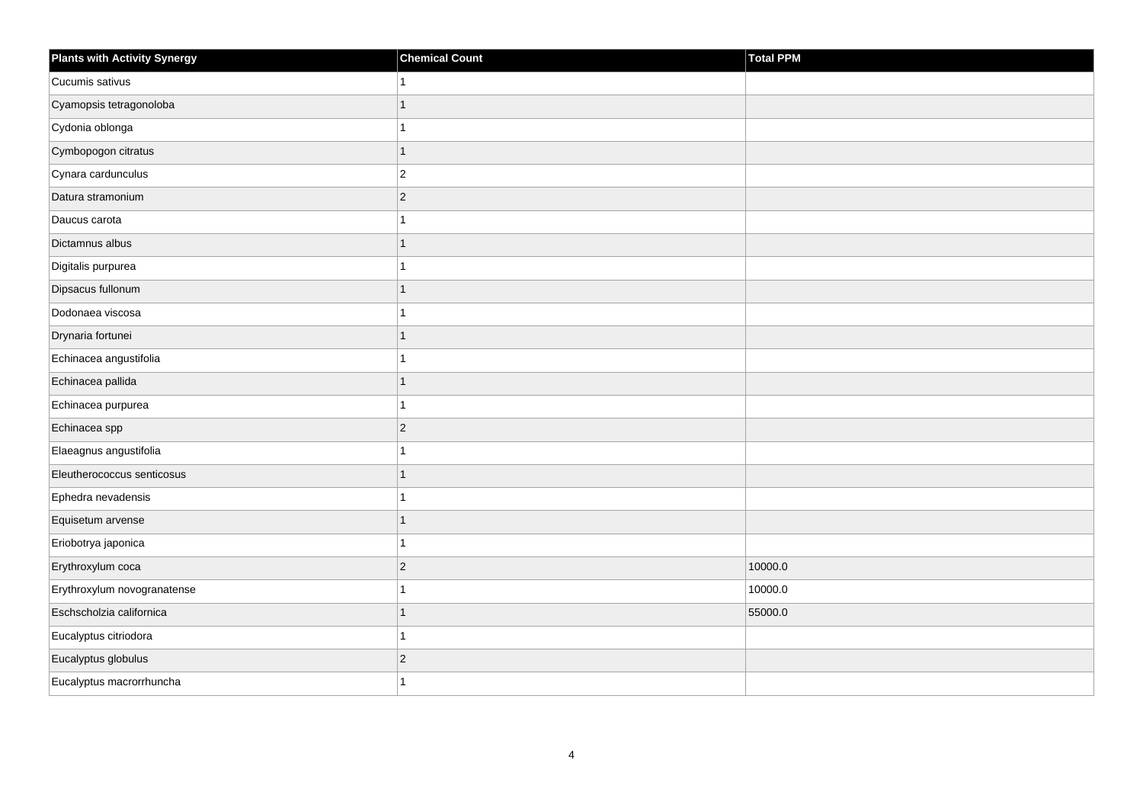| <b>Plants with Activity Synergy</b> | <b>Chemical Count</b>   | <b>Total PPM</b> |
|-------------------------------------|-------------------------|------------------|
| Cucumis sativus                     | 1                       |                  |
| Cyamopsis tetragonoloba             | $\overline{1}$          |                  |
| Cydonia oblonga                     | 1                       |                  |
| Cymbopogon citratus                 | $\mathbf{1}$            |                  |
| Cynara cardunculus                  | $\overline{\mathbf{c}}$ |                  |
| Datura stramonium                   | $\overline{c}$          |                  |
| Daucus carota                       | 1                       |                  |
| Dictamnus albus                     | $\overline{1}$          |                  |
| Digitalis purpurea                  | 1                       |                  |
| Dipsacus fullonum                   | $\overline{1}$          |                  |
| Dodonaea viscosa                    | 1                       |                  |
| Drynaria fortunei                   | $\overline{1}$          |                  |
| Echinacea angustifolia              | 1                       |                  |
| Echinacea pallida                   | $\overline{1}$          |                  |
| Echinacea purpurea                  | 1                       |                  |
| Echinacea spp                       | $\overline{c}$          |                  |
| Elaeagnus angustifolia              | 1                       |                  |
| Eleutherococcus senticosus          | $\overline{1}$          |                  |
| Ephedra nevadensis                  | $\overline{1}$          |                  |
| Equisetum arvense                   | 1                       |                  |
| Eriobotrya japonica                 | 1                       |                  |
| Erythroxylum coca                   | $\overline{c}$          | 10000.0          |
| Erythroxylum novogranatense         | 1                       | 10000.0          |
| Eschscholzia californica            | 1                       | 55000.0          |
| Eucalyptus citriodora               | $\mathbf{1}$            |                  |
| Eucalyptus globulus                 | $\mathbf{2}$            |                  |
| Eucalyptus macrorrhuncha            | 1                       |                  |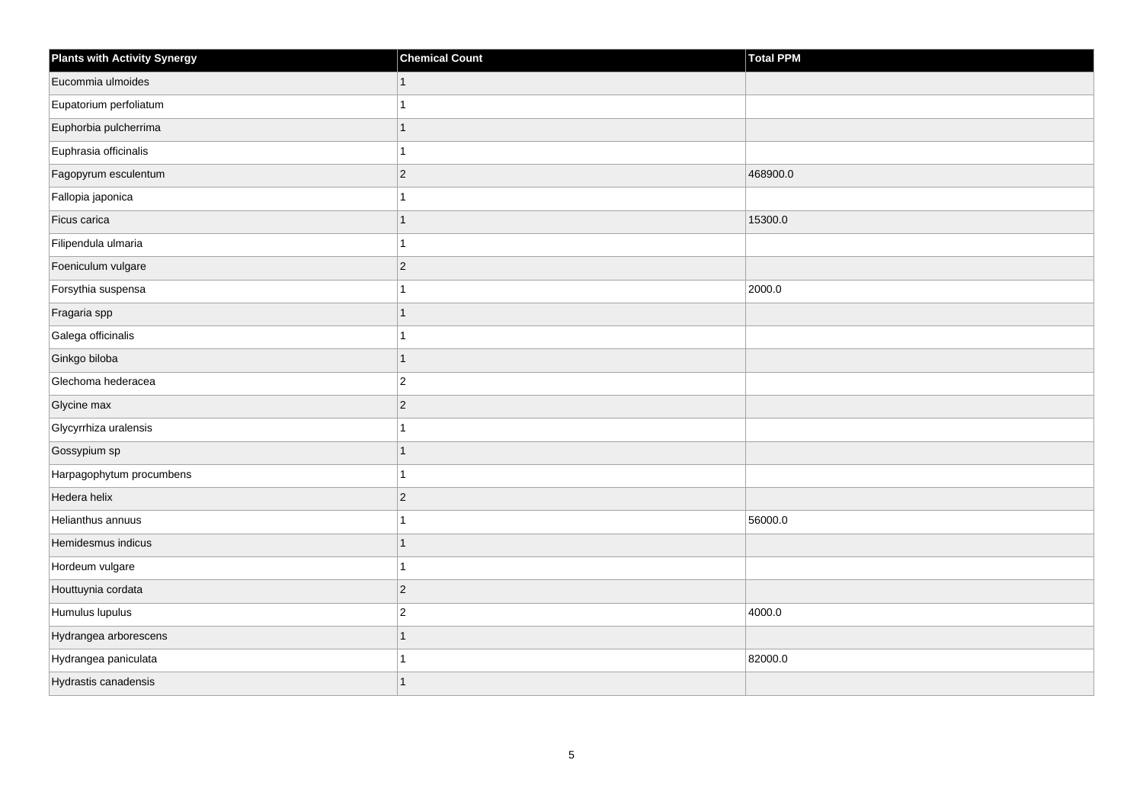| <b>Plants with Activity Synergy</b> | <b>Chemical Count</b>   | <b>Total PPM</b> |
|-------------------------------------|-------------------------|------------------|
| Eucommia ulmoides                   | $\mathbf{1}$            |                  |
| Eupatorium perfoliatum              | 1                       |                  |
| Euphorbia pulcherrima               | $\overline{1}$          |                  |
| Euphrasia officinalis               | 1                       |                  |
| Fagopyrum esculentum                | $\overline{c}$          | 468900.0         |
| Fallopia japonica                   | 1                       |                  |
| Ficus carica                        | $\overline{1}$          | 15300.0          |
| Filipendula ulmaria                 | 1                       |                  |
| Foeniculum vulgare                  | $\overline{c}$          |                  |
| Forsythia suspensa                  | 1                       | 2000.0           |
| Fragaria spp                        | $\overline{1}$          |                  |
| Galega officinalis                  | 1                       |                  |
| Ginkgo biloba                       | $\overline{1}$          |                  |
| Glechoma hederacea                  | $\overline{\mathbf{c}}$ |                  |
| Glycine max                         | $\overline{c}$          |                  |
| Glycyrrhiza uralensis               | $\overline{1}$          |                  |
| Gossypium sp                        | 1                       |                  |
| Harpagophytum procumbens            | 1                       |                  |
| Hedera helix                        | $\overline{c}$          |                  |
| Helianthus annuus                   | 1                       | 56000.0          |
| Hemidesmus indicus                  | 1                       |                  |
| Hordeum vulgare                     | $\overline{1}$          |                  |
| Houttuynia cordata                  | $\mathbf{2}$            |                  |
| Humulus lupulus                     | $\overline{2}$          | 4000.0           |
| Hydrangea arborescens               | $\overline{1}$          |                  |
| Hydrangea paniculata                |                         | 82000.0          |
| Hydrastis canadensis                | $\overline{1}$          |                  |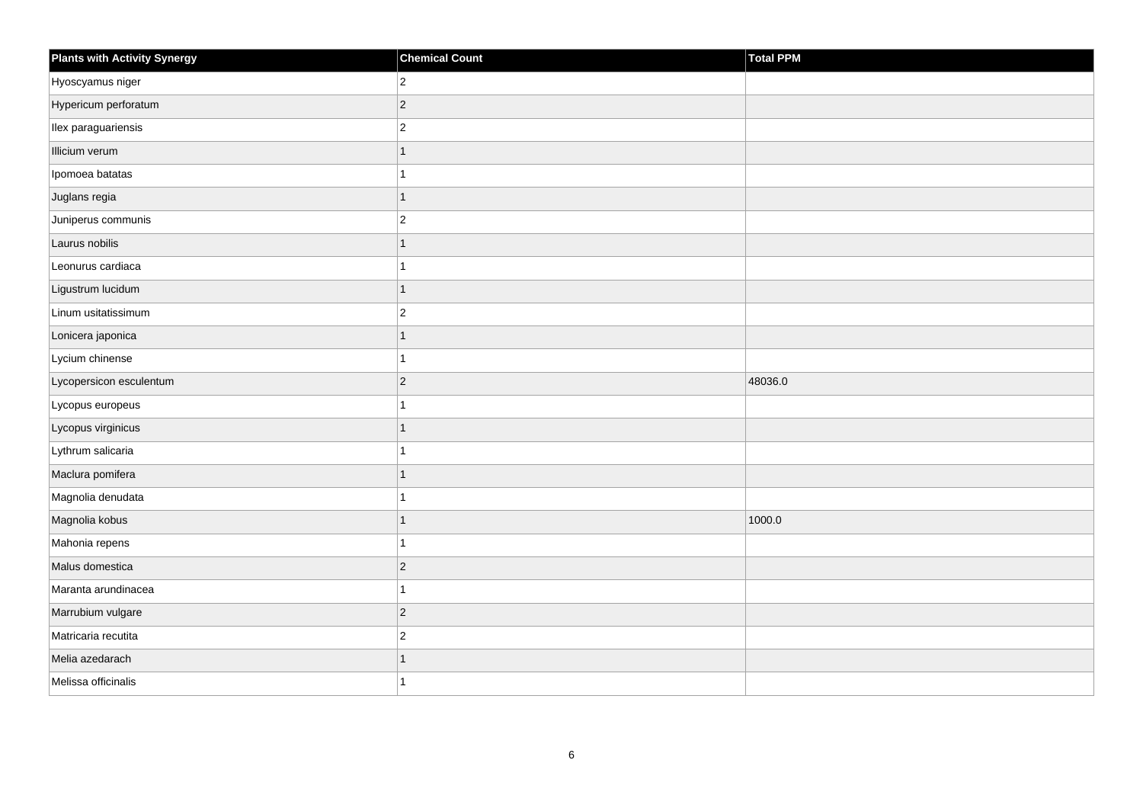| <b>Plants with Activity Synergy</b> | <b>Chemical Count</b> | Total PPM |
|-------------------------------------|-----------------------|-----------|
| Hyoscyamus niger                    | $\overline{2}$        |           |
| Hypericum perforatum                | $\overline{2}$        |           |
| Ilex paraguariensis                 | $\overline{a}$        |           |
| Illicium verum                      | 1                     |           |
| Ipomoea batatas                     |                       |           |
| Juglans regia                       | 1                     |           |
| Juniperus communis                  | $\overline{2}$        |           |
| Laurus nobilis                      | 1                     |           |
| Leonurus cardiaca                   |                       |           |
| Ligustrum lucidum                   | $\overline{1}$        |           |
| Linum usitatissimum                 | $\overline{c}$        |           |
| Lonicera japonica                   |                       |           |
| Lycium chinense                     | 1                     |           |
| Lycopersicon esculentum             | $\overline{2}$        | 48036.0   |
| Lycopus europeus                    |                       |           |
| Lycopus virginicus                  | 1                     |           |
| Lythrum salicaria                   |                       |           |
| Maclura pomifera                    |                       |           |
| Magnolia denudata                   | 1                     |           |
| Magnolia kobus                      | 1                     | 1000.0    |
| Mahonia repens                      |                       |           |
| Malus domestica                     | $\overline{c}$        |           |
| Maranta arundinacea                 |                       |           |
| Marrubium vulgare                   | $ 2\rangle$           |           |
| Matricaria recutita                 | $\overline{c}$        |           |
| Melia azedarach                     | 1                     |           |
| Melissa officinalis                 |                       |           |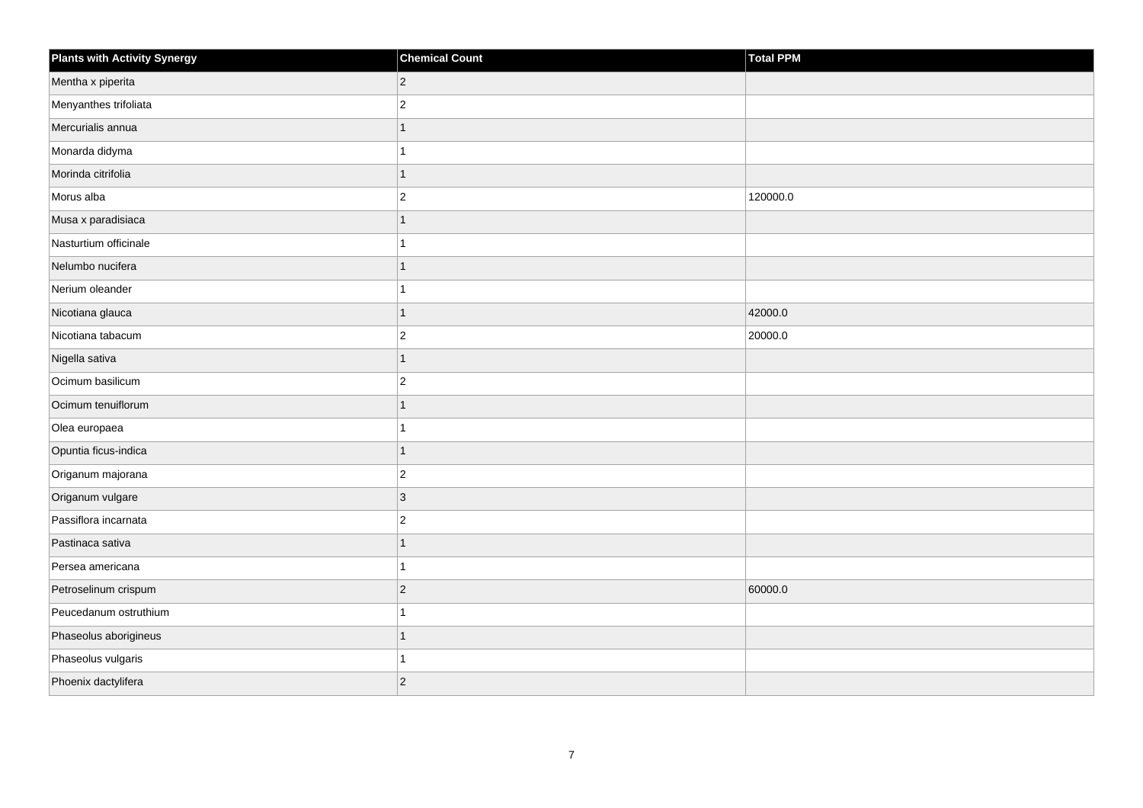| <b>Plants with Activity Synergy</b> | <b>Chemical Count</b> | <b>Total PPM</b> |
|-------------------------------------|-----------------------|------------------|
| Mentha x piperita                   | $\overline{c}$        |                  |
| Menyanthes trifoliata               | $\overline{2}$        |                  |
| Mercurialis annua                   | $\overline{1}$        |                  |
| Monarda didyma                      | 1                     |                  |
| Morinda citrifolia                  | 1                     |                  |
| Morus alba                          | $\overline{c}$        | 120000.0         |
| Musa x paradisiaca                  | $\mathbf{1}$          |                  |
| Nasturtium officinale               | 1                     |                  |
| Nelumbo nucifera                    | 1                     |                  |
| Nerium oleander                     | 1                     |                  |
| Nicotiana glauca                    | 1                     | 42000.0          |
| Nicotiana tabacum                   | $\overline{c}$        | 20000.0          |
| Nigella sativa                      | $\mathbf{1}$          |                  |
| Ocimum basilicum                    | $\overline{2}$        |                  |
| Ocimum tenuiflorum                  | $\overline{1}$        |                  |
| Olea europaea                       | 1                     |                  |
| Opuntia ficus-indica                | $\overline{1}$        |                  |
| Origanum majorana                   | $\overline{c}$        |                  |
| Origanum vulgare                    | $\overline{3}$        |                  |
| Passiflora incarnata                | $\overline{c}$        |                  |
| Pastinaca sativa                    | $\overline{1}$        |                  |
| Persea americana                    | 1                     |                  |
| Petroselinum crispum                | $\overline{c}$        | 60000.0          |
| Peucedanum ostruthium               | $\overline{1}$        |                  |
| Phaseolus aborigineus               | $\mathbf{1}$          |                  |
| Phaseolus vulgaris                  | 1                     |                  |
| Phoenix dactylifera                 | $\overline{2}$        |                  |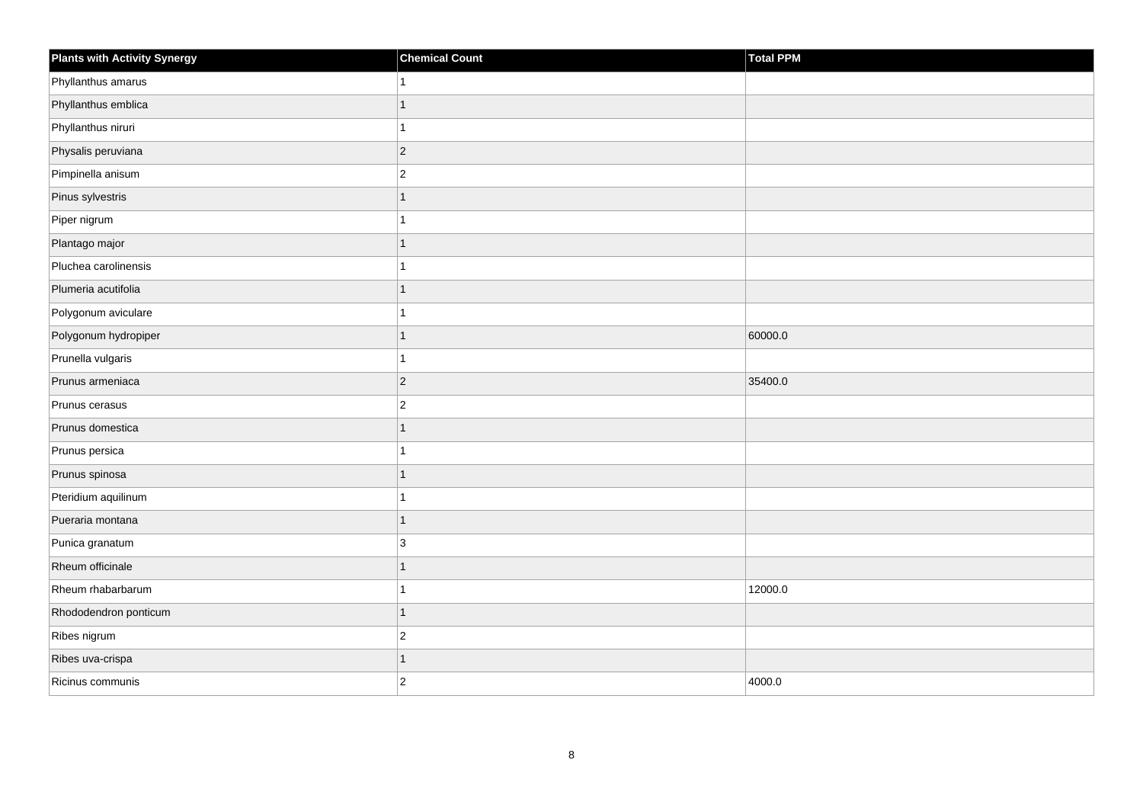| Plants with Activity Synergy | <b>Chemical Count</b> | Total PPM |
|------------------------------|-----------------------|-----------|
| Phyllanthus amarus           |                       |           |
| Phyllanthus emblica          | 1                     |           |
| Phyllanthus niruri           |                       |           |
| Physalis peruviana           | $\overline{2}$        |           |
| Pimpinella anisum            | $\overline{c}$        |           |
| Pinus sylvestris             | 1                     |           |
| Piper nigrum                 |                       |           |
| Plantago major               | 1                     |           |
| Pluchea carolinensis         |                       |           |
| Plumeria acutifolia          | 1                     |           |
| Polygonum aviculare          |                       |           |
| Polygonum hydropiper         | 1                     | 60000.0   |
| Prunella vulgaris            |                       |           |
| Prunus armeniaca             | $\overline{2}$        | 35400.0   |
| Prunus cerasus               | $\overline{c}$        |           |
| Prunus domestica             | 1                     |           |
| Prunus persica               |                       |           |
| Prunus spinosa               | 1                     |           |
| Pteridium aquilinum          |                       |           |
| Pueraria montana             | 1                     |           |
| Punica granatum              | 3                     |           |
| Rheum officinale             | 1                     |           |
| Rheum rhabarbarum            |                       | 12000.0   |
| Rhododendron ponticum        | $\overline{1}$        |           |
| Ribes nigrum                 | $\overline{2}$        |           |
| Ribes uva-crispa             | 1                     |           |
| Ricinus communis             | $\overline{c}$        | 4000.0    |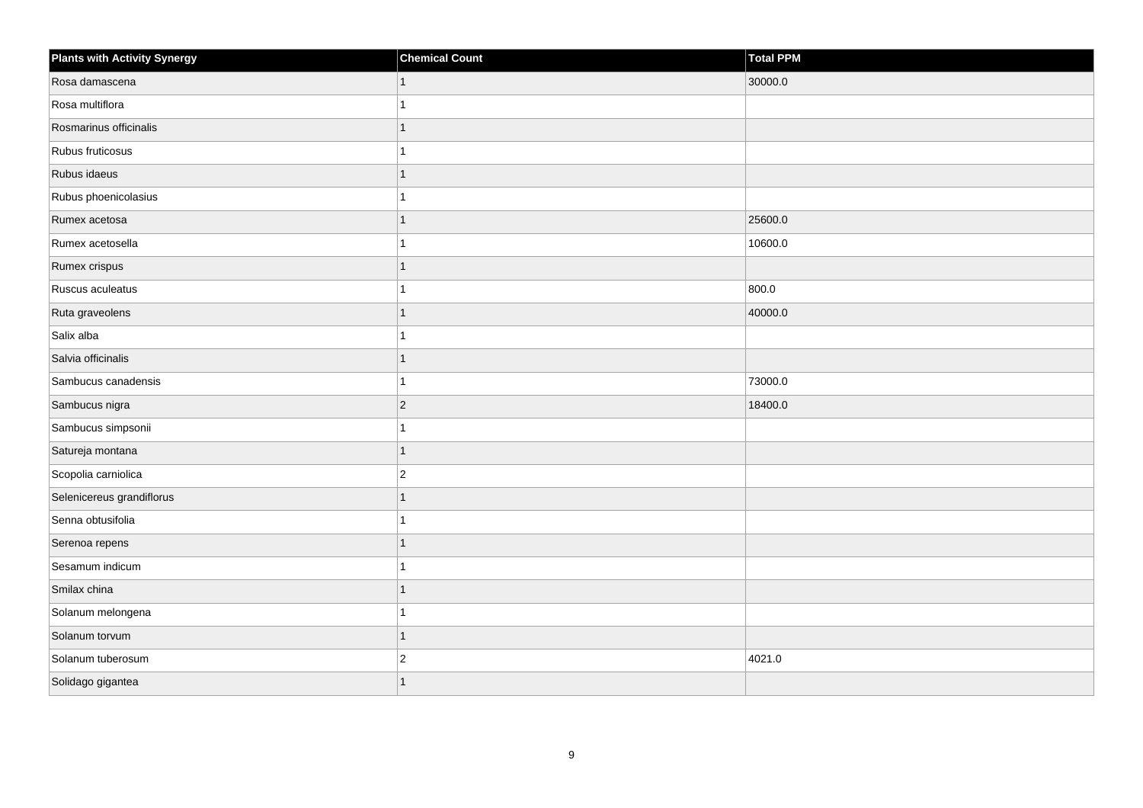| <b>Plants with Activity Synergy</b> | <b>Chemical Count</b> | <b>Total PPM</b> |
|-------------------------------------|-----------------------|------------------|
| Rosa damascena                      | $\mathbf 1$           | 30000.0          |
| Rosa multiflora                     |                       |                  |
| Rosmarinus officinalis              |                       |                  |
| Rubus fruticosus                    |                       |                  |
| Rubus idaeus                        |                       |                  |
| Rubus phoenicolasius                |                       |                  |
| Rumex acetosa                       |                       | 25600.0          |
| Rumex acetosella                    |                       | 10600.0          |
| Rumex crispus                       |                       |                  |
| Ruscus aculeatus                    |                       | 800.0            |
| Ruta graveolens                     |                       | 40000.0          |
| Salix alba                          |                       |                  |
| Salvia officinalis                  | 1                     |                  |
| Sambucus canadensis                 |                       | 73000.0          |
| Sambucus nigra                      | $ 2\rangle$           | 18400.0          |
| Sambucus simpsonii                  | 1                     |                  |
| Satureja montana                    |                       |                  |
| Scopolia carniolica                 | $\overline{2}$        |                  |
| Selenicereus grandiflorus           | 1                     |                  |
| Senna obtusifolia                   |                       |                  |
| Serenoa repens                      |                       |                  |
| Sesamum indicum                     | 1                     |                  |
| Smilax china                        |                       |                  |
| Solanum melongena                   |                       |                  |
| Solanum torvum                      | 1                     |                  |
| Solanum tuberosum                   | $\overline{c}$        | 4021.0           |
| Solidago gigantea                   |                       |                  |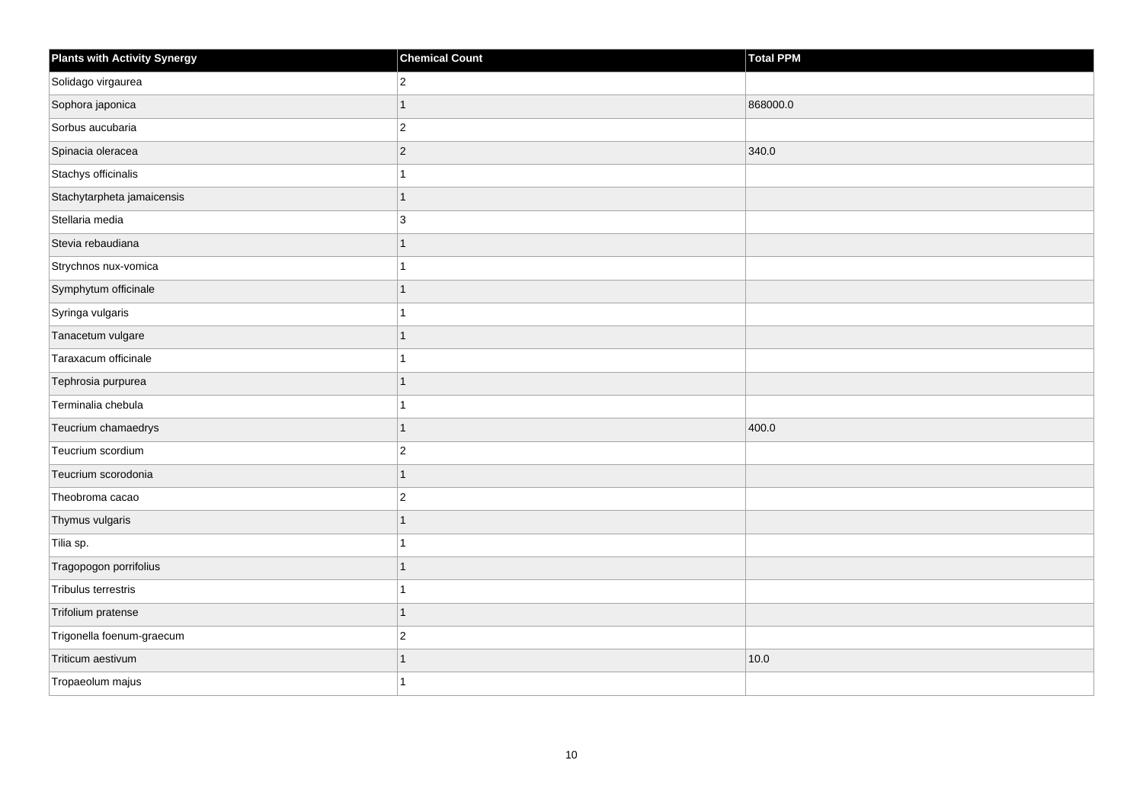| <b>Plants with Activity Synergy</b> | <b>Chemical Count</b> | <b>Total PPM</b> |
|-------------------------------------|-----------------------|------------------|
| Solidago virgaurea                  | $\overline{2}$        |                  |
| Sophora japonica                    | 1                     | 868000.0         |
| Sorbus aucubaria                    | $\overline{c}$        |                  |
| Spinacia oleracea                   | $\overline{c}$        | 340.0            |
| Stachys officinalis                 | 1                     |                  |
| Stachytarpheta jamaicensis          | $\overline{1}$        |                  |
| Stellaria media                     | 3                     |                  |
| Stevia rebaudiana                   | $\overline{1}$        |                  |
| Strychnos nux-vomica                | 1                     |                  |
| Symphytum officinale                | $\overline{1}$        |                  |
| Syringa vulgaris                    | 1                     |                  |
| Tanacetum vulgare                   | 1                     |                  |
| Taraxacum officinale                | 1                     |                  |
| Tephrosia purpurea                  | $\mathbf{1}$          |                  |
| Terminalia chebula                  |                       |                  |
| Teucrium chamaedrys                 | $\overline{1}$        | 400.0            |
| Teucrium scordium                   | $\overline{2}$        |                  |
| Teucrium scorodonia                 | $\overline{1}$        |                  |
| Theobroma cacao                     | $\overline{c}$        |                  |
| Thymus vulgaris                     | $\overline{1}$        |                  |
| Tilia sp.                           |                       |                  |
| Tragopogon porrifolius              | 1                     |                  |
| Tribulus terrestris                 | 1                     |                  |
| Trifolium pratense                  | $\mathbf{1}$          |                  |
| Trigonella foenum-graecum           | $\overline{2}$        |                  |
| Triticum aestivum                   | $\overline{1}$        | 10.0             |
| Tropaeolum majus                    | 1                     |                  |